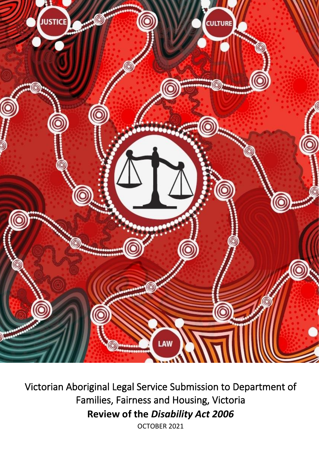

Victorian Aboriginal Legal Service Submission to Department of Families, Fairness and Housing, Victoria **Review of the** *Disability Act 2006*

OCTOBER 2021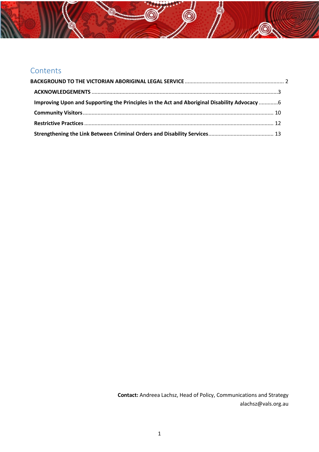# Contents

| Improving Upon and Supporting the Principles in the Act and Aboriginal Disability Advocacy  6 |  |
|-----------------------------------------------------------------------------------------------|--|
|                                                                                               |  |
|                                                                                               |  |
|                                                                                               |  |

**D** 

**Contact:** Andreea Lachsz, Head of Policy, Communications and Strategy alachsz@vals.org.au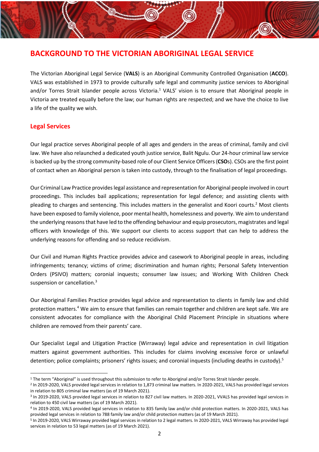## <span id="page-2-0"></span>**BACKGROUND TO THE VICTORIAN ABORIGINAL LEGAL SERVICE**

The Victorian Aboriginal Legal Service (**VALS**) is an Aboriginal Community Controlled Organisation (**ACCO**). VALS was established in 1973 to provide culturally safe legal and community justice services to Aboriginal and/or Torres Strait Islander people across Victoria.<sup>1</sup> VALS' vision is to ensure that Aboriginal people in Victoria are treated equally before the law; our human rights are respected; and we have the choice to live a life of the quality we wish.

### **Legal Services**

Our legal practice serves Aboriginal people of all ages and genders in the areas of criminal, family and civil law. We have also relaunched a dedicated youth justice service, Balit Ngulu. Our 24-hour criminal law service is backed up by the strong community-based role of our Client Service Officers(**CSO**s). CSOs are the first point of contact when an Aboriginal person is taken into custody, through to the finalisation of legal proceedings.

Our Criminal Law Practice provides legal assistance and representation for Aboriginal people involved in court proceedings. This includes bail applications; representation for legal defence; and assisting clients with pleading to charges and sentencing. This includes matters in the generalist and Koori courts. <sup>2</sup> Most clients have been exposed to family violence, poor mental health, homelessness and poverty. We aim to understand the underlying reasons that have led to the offending behaviour and equip prosecutors, magistrates and legal officers with knowledge of this. We support our clients to access support that can help to address the underlying reasons for offending and so reduce recidivism.

Our Civil and Human Rights Practice provides advice and casework to Aboriginal people in areas, including infringements; tenancy; victims of crime; discrimination and human rights; Personal Safety Intervention Orders (PSIVO) matters; coronial inquests; consumer law issues; and Working With Children Check suspension or cancellation.<sup>3</sup>

Our Aboriginal Families Practice provides legal advice and representation to clients in family law and child protection matters.<sup>4</sup> We aim to ensure that families can remain together and children are kept safe. We are consistent advocates for compliance with the Aboriginal Child Placement Principle in situations where children are removed from their parents' care.

Our Specialist Legal and Litigation Practice (Wirraway) legal advice and representation in civil litigation matters against government authorities. This includes for claims involving excessive force or unlawful detention; police complaints; prisoners' rights issues; and coronial inquests (including deaths in custody).<sup>5</sup>

<sup>&</sup>lt;sup>1</sup> The term "Aboriginal" is used throughout this submission to refer to Aboriginal and/or Torres Strait Islander people.

<sup>2</sup> In 2019-2020, VALS provided legal services in relation to 1,873 criminal law matters. In 2020-2021, VALS has provided legal services in relation to 805 criminal law matters (as of 19 March 2021).

<sup>&</sup>lt;sup>3</sup> In 2019-2020, VALS provided legal services in relation to 827 civil law matters. In 2020-2021, VVALS has provided legal services in relation to 450 civil law matters (as of 19 March 2021).

<sup>4</sup> In 2019-2020, VALS provided legal services in relation to 835 family law and/or child protection matters. In 2020-2021, VALS has provided legal services in relation to 788 family law and/or child protection matters (as of 19 March 2021).

<sup>&</sup>lt;sup>5</sup> In 2019-2020, VALS Wirraway provided legal services in relation to 2 legal matters. In 2020-2021, VALS Wirraway has provided legal services in relation to 53 legal matters (as of 19 March 2021).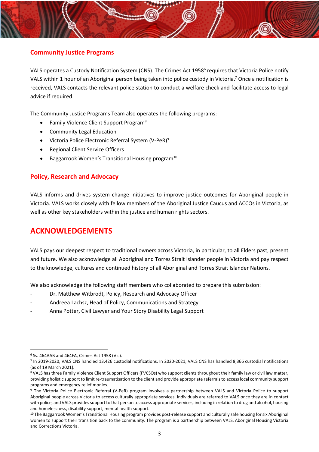

VALS operates a Custody Notification System (CNS). The Crimes Act 1958<sup>6</sup> requires that Victoria Police notify VALS within 1 hour of an Aboriginal person being taken into police custody in Victoria.<sup>7</sup> Once a notification is received, VALS contacts the relevant police station to conduct a welfare check and facilitate access to legal advice if required.

The Community Justice Programs Team also operates the following programs:

- Family Violence Client Support Program<sup>8</sup>
- Community Legal Education
- Victoria Police Electronic Referral System (V-PeR)<sup>9</sup>
- Regional Client Service Officers
- Baggarrook Women's Transitional Housing program<sup>10</sup>

#### **Policy, Research and Advocacy**

VALS informs and drives system change initiatives to improve justice outcomes for Aboriginal people in Victoria. VALS works closely with fellow members of the Aboriginal Justice Caucus and ACCOs in Victoria, as well as other key stakeholders within the justice and human rights sectors.

## <span id="page-3-0"></span>**ACKNOWLEDGEMENTS**

VALS pays our deepest respect to traditional owners across Victoria, in particular, to all Elders past, present and future. We also acknowledge all Aboriginal and Torres Strait Islander people in Victoria and pay respect to the knowledge, cultures and continued history of all Aboriginal and Torres Strait Islander Nations.

We also acknowledge the following staff members who collaborated to prepare this submission:

- Dr. Matthew Witbrodt, Policy, Research and Advocacy Officer
- Andreea Lachsz, Head of Policy, Communications and Strategy
- Anna Potter, Civil Lawyer and Your Story Disability Legal Support

<sup>6</sup> Ss. 464AAB and 464FA, Crimes Act 1958 (Vic).

<sup>7</sup> In 2019-2020, VALS CNS handled 13,426 custodial notifications. In 2020-2021, VALS CNS has handled 8,366 custodial notifications (as of 19 March 2021).

<sup>8</sup> VALS has three Family Violence Client Support Officers (FVCSOs) who support clients throughout their family law or civil law matter, providing holistic support to limit re-traumatisation to the client and provide appropriate referrals to access local community support programs and emergency relief monies.

<sup>9</sup> The Victoria Police Electronic Referral (V-PeR) program involves a partnership between VALS and Victoria Police to support Aboriginal people across Victoria to access culturally appropriate services. Individuals are referred to VALS once they are in contact with police, and VALS provides support to that person to access appropriate services, including in relation to drug and alcohol, housing and homelessness, disability support, mental health support.

<sup>&</sup>lt;sup>10</sup> The Baggarrook Women's Transitional Housing program provides post-release support and culturally safe housing for six Aboriginal women to support their transition back to the community. The program is a partnership between VALS, Aboriginal Housing Victoria and Corrections Victoria.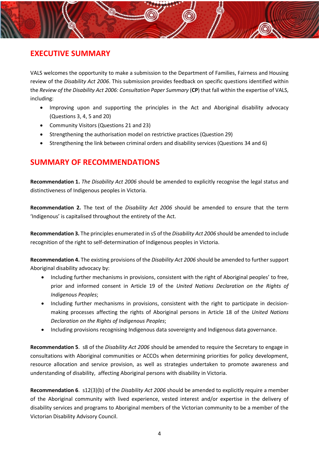## **EXECUTIVE SUMMARY**

VALS welcomes the opportunity to make a submission to the Department of Families, Fairness and Housing review of the *Disability Act 2006*. This submission provides feedback on specific questions identified within the *Review of the Disability Act 2006: Consultation Paper Summary* (**CP**) that fall within the expertise of VALS, including:

- Improving upon and supporting the principles in the Act and Aboriginal disability advocacy (Questions 3, 4, 5 and 20)
- Community Visitors (Questions 21 and 23)
- Strengthening the authorisation model on restrictive practices (Question 29)
- Strengthening the link between criminal orders and disability services (Questions 34 and 6)

## **SUMMARY OF RECOMMENDATIONS**

**Recommendation 1.** *The Disability Act 2006* should be amended to explicitly recognise the legal status and distinctiveness of Indigenous peoples in Victoria.

**Recommendation 2.** The text of the *Disability Act 2006* should be amended to ensure that the term 'Indigenous' is capitalised throughout the entirety of the Act.

**Recommendation 3.** The principles enumerated in s5 of the *Disability Act 2006* should be amended to include recognition of the right to self-determination of Indigenous peoples in Victoria.

**Recommendation 4.** The existing provisions of the *Disability Act 2006* should be amended to further support Aboriginal disability advocacy by:

- Including further mechanisms in provisions, consistent with the right of Aboriginal peoples' to free, prior and informed consent in Article 19 of the *United Nations Declaration on the Rights of Indigenous Peoples*;
- Including further mechanisms in provisions, consistent with the right to participate in decisionmaking processes affecting the rights of Aboriginal persons in Article 18 of the *United Nations Declaration on the Rights of Indigenous Peoples*;
- Including provisions recognising Indigenous data sovereignty and Indigenous data governance.

**Recommendation 5**. s8 of the *Disability Act 2006* should be amended to require the Secretary to engage in consultations with Aboriginal communities or ACCOs when determining priorities for policy development, resource allocation and service provision, as well as strategies undertaken to promote awareness and understanding of disability, affecting Aboriginal persons with disability in Victoria.

**Recommendation 6**. s12(3)(b) of the *Disability Act 2006* should be amended to explicitly require a member of the Aboriginal community with lived experience, vested interest and/or expertise in the delivery of disability services and programs to Aboriginal members of the Victorian community to be a member of the Victorian Disability Advisory Council.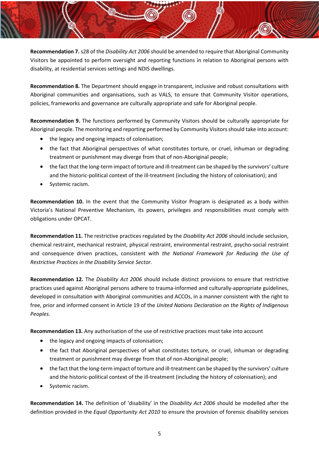**Recommendation 7.** s28 of the *Disability Act 2006* should be amended to require that Aboriginal Community Visitors be appointed to perform oversight and reporting functions in relation to Aboriginal persons with disability, at residential services settings and NDIS dwellings.

**Recommendation 8.** The Department should engage in transparent, inclusive and robust consultations with Aboriginal communities and organisations, such as VALS, to ensure that Community Visitor operations, policies, frameworks and governance are culturally appropriate and safe for Aboriginal people.

**Recommendation 9.** The functions performed by Community Visitors should be culturally appropriate for Aboriginal people. The monitoring and reporting performed by Community Visitors should take into account:

- the legacy and ongoing impacts of colonisation;
- the fact that Aboriginal perspectives of what constitutes torture, or cruel, inhuman or degrading treatment or punishment may diverge from that of non-Aboriginal people;
- the fact that the long-term impact of torture and ill-treatment can be shaped by the survivors' culture and the historic-political context of the ill-treatment (including the history of colonisation); and
- Systemic racism.

**Recommendation 10.** In the event that the Community Visitor Program is designated as a body within Victoria's National Preventive Mechanism, its powers, privileges and responsibilities must comply with obligations under OPCAT.

**Recommendation 11.** The restrictive practices regulated by the *Disability Act 2006* should include seclusion, chemical restraint, mechanical restraint, physical restraint, environmental restraint, psycho-social restraint and consequence driven practices, consistent with *the National Framework for Reducing the Use of Restrictive Practices in the Disability Service Sector.*

**Recommendation 12.** The *Disability Act 2006* should include distinct provisions to ensure that restrictive practices used against Aboriginal persons adhere to trauma-informed and culturally-appropriate guidelines, developed in consultation with Aboriginal communities and ACCOs, in a manner consistent with the right to free, prior and informed consent in Article 19 of the *United Nations Declaration on the Rights of Indigenous Peoples*.

**Recommendation 13.** Any authorisation of the use of restrictive practices must take into account

- the legacy and ongoing impacts of colonisation;
- the fact that Aboriginal perspectives of what constitutes torture, or cruel, inhuman or degrading treatment or punishment may diverge from that of non-Aboriginal people;
- the fact that the long-term impact of torture and ill-treatment can be shaped by the survivors' culture and the historic-political context of the ill-treatment (including the history of colonisation); and
- Systemic racism.

**Recommendation 14.** The definition of 'disability' in the *Disability Act 2006* should be modelled after the definition provided in the *Equal Opportunity Act 2010* to ensure the provision of forensic disability services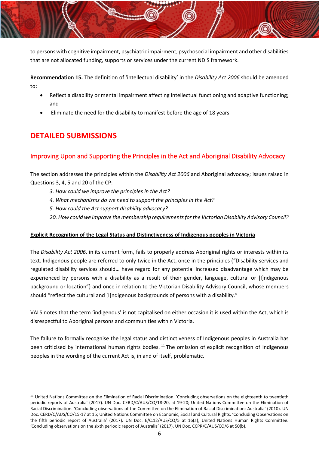

to persons with cognitive impairment, psychiatric impairment, psychosocial impairment and other disabilities that are not allocated funding, supports or services under the current NDIS framework.

**Recommendation 15.** The definition of 'intellectual disability' in the *Disability Act 2006* should be amended to:

- Reflect a disability or mental impairment affecting intellectual functioning and adaptive functioning; and
- Eliminate the need for the disability to manifest before the age of 18 years.

## **DETAILED SUBMISSIONS**

### <span id="page-6-0"></span>Improving Upon and Supporting the Principles in the Act and Aboriginal Disability Advocacy

The section addresses the principles within the *Disability Act 2006* and Aboriginal advocacy; issues raised in Questions 3, 4, 5 and 20 of the CP:

- *3. How could we improve the principles in the Act?*
- *4. What mechanisms do we need to support the principles in the Act?*
- *5. How could the Act support disability advocacy?*
- *20. How could we improve the membership requirements for the Victorian Disability Advisory Council?*

#### **Explicit Recognition of the Legal Status and Distinctiveness of Indigenous peoples in Victoria**

The *Disability Act 2006*, in its current form, fails to properly address Aboriginal rights or interests within its text. Indigenous people are referred to only twice in the Act, once in the principles ("Disability services and regulated disability services should… have regard for any potential increased disadvantage which may be experienced by persons with a disability as a result of their gender, language, cultural or [I]ndigenous background or location") and once in relation to the Victorian Disability Advisory Council, whose members should "reflect the cultural and [I]ndigenous backgrounds of persons with a disability."

VALS notes that the term 'indigenous' is not capitalised on either occasion it is used within the Act, which is disrespectful to Aboriginal persons and communities within Victoria.

The failure to formally recognise the legal status and distinctiveness of Indigenous peoples in Australia has been criticised by international human rights bodies.<sup>11</sup> The omission of explicit recognition of Indigenous peoples in the wording of the current Act is, in and of itself, problematic.

<sup>&</sup>lt;sup>11</sup> United Nations Committee on the Elimination of Racial Discrimination. 'Concluding observations on the eighteenth to twentieth periodic reports of Australia' (2017). UN Doc. CERD/C/AUS/CO/18-20, at 19-20; United Nations Committee on the Elimination of Racial Discrimination. 'Concluding observations of the Committee on the Elimination of Racial Discrimination: Australia' (2010). UN Doc. CERD/C/AUS/CO/15-17 at 15; United Nations Committee on Economic, Social and Cultural Rights. 'Concluding Observations on the fifth periodic report of Australia' (2017). UN Doc. E/C.12/AUS/CO/5 at 16(a); United Nations Human Rights Committee. 'Concluding observations on the sixth periodic report of Australia' (2017). UN Doc. CCPR/C/AUS/CO/6 at 50(b).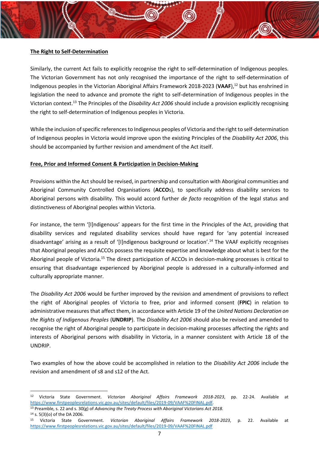#### **The Right to Self-Determination**

Similarly, the current Act fails to explicitly recognise the right to self-determination of Indigenous peoples. The Victorian Government has not only recognised the importance of the right to self-determination of Indigenous peoples in the Victorian Aboriginal Affairs Framework 2018-2023 (**VAAF**), <sup>12</sup> but has enshrined in legislation the need to advance and promote the right to self-determination of Indigenous peoples in the Victorian context. <sup>13</sup> The Principles of the *Disability Act 2006* should include a provision explicitly recognising the right to self-determination of Indigenous peoples in Victoria.

While the inclusion of specific references to Indigenous peoples of Victoria and the right to self-determination of Indigenous peoples in Victoria would improve upon the existing Principles of the *Disability Act 2006*, this should be accompanied by further revision and amendment of the Act itself.

#### **Free, Prior and Informed Consent & Participation in Decision-Making**

Provisions within the Act should be revised, in partnership and consultation with Aboriginal communities and Aboriginal Community Controlled Organisations (**ACCO**s), to specifically address disability services to Aboriginal persons with disability. This would accord further *de facto* recognition of the legal status and distinctiveness of Aboriginal peoples within Victoria.

For instance, the term '[I]ndigenous' appears for the first time in the Principles of the Act, providing that disability services and regulated disability services should have regard for 'any potential increased disadvantage' arising as a result of '[I]ndigenous background or location'.<sup>14</sup> The VAAF explicitly recognises that Aboriginal peoples and ACCOs possess the requisite expertise and knowledge about what is best for the Aboriginal people of Victoria.<sup>15</sup> The direct participation of ACCOs in decision-making processes is critical to ensuring that disadvantage experienced by Aboriginal people is addressed in a culturally-informed and culturally appropriate manner.

The *Disability Act 2006* would be further improved by the revision and amendment of provisions to reflect the right of Aboriginal peoples of Victoria to free, prior and informed consent (**FPIC**) in relation to administrative measures that affect them, in accordance with Article 19 of the *United Nations Declaration on the Rights of Indigenous Peoples* (**UNDRIP**). The *Disability Act 2006* should also be revised and amended to recognise the right of Aboriginal people to participate in decision-making processes affecting the rights and interests of Aboriginal persons with disability in Victoria, in a manner consistent with Article 18 of the UNDRIP.

Two examples of how the above could be accomplished in relation to the *Disability Act 2006* include the revision and amendment of s8 and s12 of the Act.

<sup>12</sup> Victoria State Government. *Victorian Aboriginal Affairs Framework 2018-2023*, pp. 22-24. Available at [https://www.firstpeoplesrelations.vic.gov.au/sites/default/files/2019-09/VAAF%20FINAL.pdf.](https://www.firstpeoplesrelations.vic.gov.au/sites/default/files/2019-09/VAAF%20FINAL.pdf)

<sup>13</sup> Preamble, s. 22 and s. 30(g) of *Advancing the Treaty Process with Aboriginal Victorians Act 2018.* <sup>14</sup> s. 5(3)(o) of the DA 2006.

<sup>15</sup> Victoria State Government. *Victorian Aboriginal Affairs Framework 2018-2023*, p. 22. Available at <https://www.firstpeoplesrelations.vic.gov.au/sites/default/files/2019-09/VAAF%20FINAL.pdf>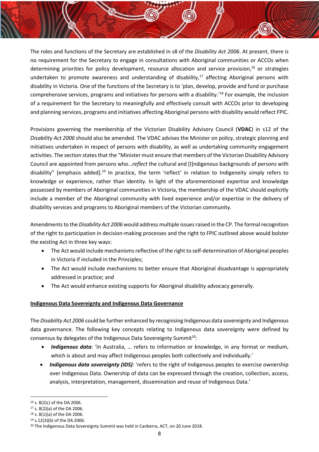The roles and functions of the Secretary are established in s8 of the *Disability Act 2006*. At present, there is no requirement for the Secretary to engage in consultations with Aboriginal communities or ACCOs when determining priorities for policy development, resource allocation and service provision, $^{16}$  or strategies undertaken to promote awareness and understanding of disability, $17$  affecting Aboriginal persons with disability in Victoria. One of the functions of the Secretary is to 'plan, develop, provide and fund or purchase comprehensive services, programs and initiatives for persons with a disability.'<sup>18</sup> For example, the inclusion of a requirement for the Secretary to meaningfully and effectively consult with ACCOs prior to developing and planning services, programs and initiatives affecting Aboriginal persons with disability would reflect FPIC.

Provisions governing the membership of the Victorian Disability Advisory Council (**VDAC**) in s12 of the *Disability Act 2006* should also be amended. The VDAC advises the Minister on policy, strategic planning and initiatives undertaken in respect of persons with disability, as well as undertaking community engagement activities. The section states that the "Minister must ensure that members of the Victorian Disability Advisory Council are appointed from persons who…*reflect* the cultural and [I]ndigenous backgrounds of persons with disability" [emphasis added].<sup>19</sup> In practice, the term 'reflect' in relation to Indigeneity simply refers to knowledge or experience, rather than identity. In light of the aforementioned expertise and knowledge possessed by members of Aboriginal communities in Victoria, the membership of the VDAC should explicitly include a member of the Aboriginal community with lived experience and/or expertise in the delivery of disability services and programs to Aboriginal members of the Victorian community.

Amendments to the *Disability Act 2006* would address multiple issues raised in the CP. The formal recognition of the right to participation in decision-making processes and the right to FPIC outlined above would bolster the existing Act in three key ways:

- The Act would include mechanisms reflective of the right to self-determination of Aboriginal peoples in Victoria if included in the Principles;
- The Act would include mechanisms to better ensure that Aboriginal disadvantage is appropriately addressed in practice; and
- The Act would enhance existing supports for Aboriginal disability advocacy generally.

#### **Indigenous Data Sovereignty and Indigenous Data Governance**

The *Disability Act 2006* could be further enhanced by recognising Indigenous data sovereignty and Indigenous data governance. The following key concepts relating to Indigenous data sovereignty were defined by consensus by delegates of the Indigenous Data Sovereignty Summit<sup>20</sup>:

- *Indigenous data*: 'In Australia, … refers to information or knowledge, in any format or medium, which is about and may affect Indigenous peoples both collectively and individually.'
- *Indigenous data sovereignty (IDS)*: 'refers to the right of Indigenous peoples to exercise ownership over Indigenous Data. Ownership of data can be expressed through the creation, collection, access, analysis, interpretation, management, dissemination and reuse of Indigenous Data.'

<sup>16</sup> s. 8(2)c) of the DA 2006.

<sup>17</sup> s. 8(2)(a) of the DA 2006.

<sup>18</sup> s. 8(1)(a) of the DA 2006.

<sup>19</sup> s.12(3)(b) of the DA 2006.

<sup>&</sup>lt;sup>20</sup> The Indigenous Data Sovereignty Summit was held in Canberra, ACT, on 20 June 2018.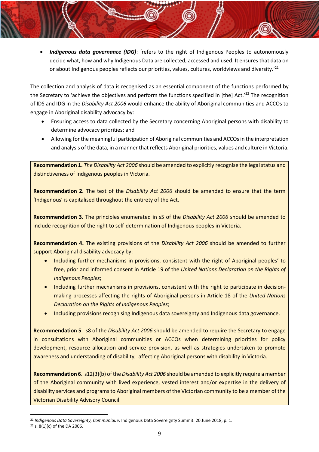• *Indigenous data governance (IDG)*: 'refers to the right of Indigenous Peoples to autonomously decide what, how and why Indigenous Data are collected, accessed and used. It ensures that data on or about Indigenous peoples reflects our priorities, values, cultures, worldviews and diversity.'<sup>21</sup>

The collection and analysis of data is recognised as an essential component of the functions performed by the Secretary to 'achieve the objectives and perform the functions specified in [the] Act.'22 The recognition of IDS and IDG in the *Disability Act 2006* would enhance the ability of Aboriginal communities and ACCOs to engage in Aboriginal disability advocacy by:

- Ensuring access to data collected by the Secretary concerning Aboriginal persons with disability to determine advocacy priorities; and
- Allowing for the meaningful participation of Aboriginal communities and ACCOs in the interpretation and analysis of the data, in a manner that reflects Aboriginal priorities, values and culture in Victoria.

**Recommendation 1.** *The Disability Act 2006* should be amended to explicitly recognise the legal status and distinctiveness of Indigenous peoples in Victoria.

**Recommendation 2.** The text of the *Disability Act 2006* should be amended to ensure that the term 'Indigenous' is capitalised throughout the entirety of the Act.

**Recommendation 3.** The principles enumerated in s5 of the *Disability Act 2006* should be amended to include recognition of the right to self-determination of Indigenous peoples in Victoria.

**Recommendation 4.** The existing provisions of the *Disability Act 2006* should be amended to further support Aboriginal disability advocacy by:

- Including further mechanisms in provisions, consistent with the right of Aboriginal peoples' to free, prior and informed consent in Article 19 of the *United Nations Declaration on the Rights of Indigenous Peoples*;
- Including further mechanisms in provisions, consistent with the right to participate in decisionmaking processes affecting the rights of Aboriginal persons in Article 18 of the *United Nations Declaration on the Rights of Indigenous Peoples*;
- Including provisions recognising Indigenous data sovereignty and Indigenous data governance.

**Recommendation 5**. s8 of the *Disability Act 2006* should be amended to require the Secretary to engage in consultations with Aboriginal communities or ACCOs when determining priorities for policy development, resource allocation and service provision, as well as strategies undertaken to promote awareness and understanding of disability, affecting Aboriginal persons with disability in Victoria.

**Recommendation 6**. s12(3)(b) of the *Disability Act 2006* should be amended to explicitly require a member of the Aboriginal community with lived experience, vested interest and/or expertise in the delivery of disability services and programs to Aboriginal members of the Victorian community to be a member of the Victorian Disability Advisory Council.

<sup>21</sup> *Indigenous Data Sovereignty, Communique*. Indigenous Data Sovereignty Summit. 20 June 2018, p. 1.

<sup>22</sup> s. 8(1)(c) of the DA 2006.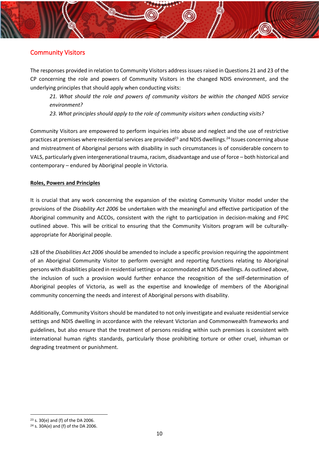### <span id="page-10-0"></span>Community Visitors

The responses provided in relation to Community Visitors address issues raised in Questions 21 and 23 of the CP concerning the role and powers of Community Visitors in the changed NDIS environment, and the underlying principles that should apply when conducting visits:

*21. What should the role and powers of community visitors be within the changed NDIS service environment?* 

*23. What principles should apply to the role of community visitors when conducting visits?*

Community Visitors are empowered to perform inquiries into abuse and neglect and the use of restrictive practices at premises where residential services are provided<sup>23</sup> and NDIS dwellings.<sup>24</sup> Issues concerning abuse and mistreatment of Aboriginal persons with disability in such circumstances is of considerable concern to VALS, particularly given intergenerational trauma, racism, disadvantage and use of force – both historical and contemporary – endured by Aboriginal people in Victoria.

#### **Roles, Powers and Principles**

It is crucial that any work concerning the expansion of the existing Community Visitor model under the provisions of the *Disability Act 2006* be undertaken with the meaningful and effective participation of the Aboriginal community and ACCOs, consistent with the right to participation in decision-making and FPIC outlined above. This will be critical to ensuring that the Community Visitors program will be culturallyappropriate for Aboriginal people.

s28 of the *Disabilities Act 2006* should be amended to include a specific provision requiring the appointment of an Aboriginal Community Visitor to perform oversight and reporting functions relating to Aboriginal persons with disabilities placed in residential settings or accommodated at NDIS dwellings. As outlined above, the inclusion of such a provision would further enhance the recognition of the self-determination of Aboriginal peoples of Victoria, as well as the expertise and knowledge of members of the Aboriginal community concerning the needs and interest of Aboriginal persons with disability.

Additionally, Community Visitors should be mandated to not only investigate and evaluate residential service settings and NDIS dwelling in accordance with the relevant Victorian and Commonwealth frameworks and guidelines, but also ensure that the treatment of persons residing within such premises is consistent with international human rights standards, particularly those prohibiting torture or other cruel, inhuman or degrading treatment or punishment.

<sup>23</sup> s. 30(e) and (f) of the DA 2006.

<sup>24</sup> s. 30A(e) and (f) of the DA 2006.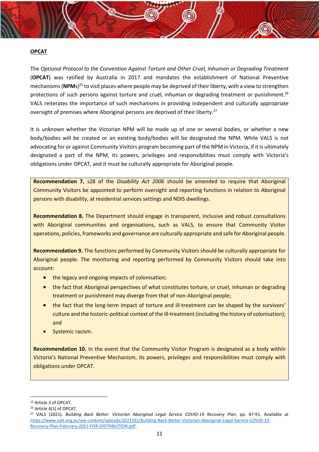#### **OPCAT**

The *Optional Protocol to the Convention Against Torture and Other Cruel, Inhuman or Degrading Treatment* (**OPCAT**) was ratified by Australia in 2017 and mandates the establishment of National Preventive mechanisms (**NPM**s)<sup>25</sup> to visit places where people may be deprived of their liberty, with a view to strengthen protections of such persons against torture and cruel, inhuman or degrading treatment or punishment.<sup>26</sup> VALS reiterates the importance of such mechanisms in providing independent and culturally appropriate oversight of premises where Aboriginal persons are deprived of their liberty.<sup>27</sup>

It is unknown whether the Victorian NPM will be made up of one or several bodies, or whether a new body/bodies will be created or an existing body/bodies will be designated the NPM. While VALS is not advocating for or against Community Visitors program becoming part of the NPM in Victoria, if it is ultimately designated a part of the NPM, its powers, privileges and responsibilities must comply with Victoria's obligations under OPCAT, and it must be culturally appropriate for Aboriginal people.

**Recommendation 7.** s28 of the *Disability Act 2006* should be amended to require that Aboriginal Community Visitors be appointed to perform oversight and reporting functions in relation to Aboriginal persons with disability, at residential services settings and NDIS dwellings.

**Recommendation 8.** The Department should engage in transparent, inclusive and robust consultations with Aboriginal communities and organisations, such as VALS, to ensure that Community Visitor operations, policies, frameworks and governance are culturally appropriate and safe for Aboriginal people.

**Recommendation 9.** The functions performed by Community Visitors should be culturally appropriate for Aboriginal people. The monitoring and reporting performed by Community Visitors should take into account:

- the legacy and ongoing impacts of colonisation;
- the fact that Aboriginal perspectives of what constitutes torture, or cruel, inhuman or degrading treatment or punishment may diverge from that of non-Aboriginal people;
- the fact that the long-term impact of torture and ill-treatment can be shaped by the survivors' culture and the historic-political context of the ill-treatment (including the history of colonisation); and
- Systemic racism.

**Recommendation 10.** In the event that the Community Visitor Program is designated as a body within Victoria's National Preventive Mechanism, its powers, privileges and responsibilities must comply with obligations under OPCAT.

<sup>25</sup> Article 3 of OPCAT.

<sup>26</sup> Article 4(1) of OPCAT.

<sup>27</sup> VALS (2021). *Building Back Better: Victorian Aboriginal Legal Service COVID-19 Recovery Plan*, pp. 87-91. Available at [https://www.vals.org.au/wp-content/uploads/2021/02/Building-Back-Better-Victorian-Aboriginal-Legal-Service-COVID-19-](https://www.vals.org.au/wp-content/uploads/2021/02/Building-Back-Better-Victorian-Aboriginal-Legal-Service-COVID-19-Recovery-Plan-February-2021-FOR-DISTRIBUTION.pdf) [Recovery-Plan-February-2021-FOR-DISTRIBUTION.pdf.](https://www.vals.org.au/wp-content/uploads/2021/02/Building-Back-Better-Victorian-Aboriginal-Legal-Service-COVID-19-Recovery-Plan-February-2021-FOR-DISTRIBUTION.pdf)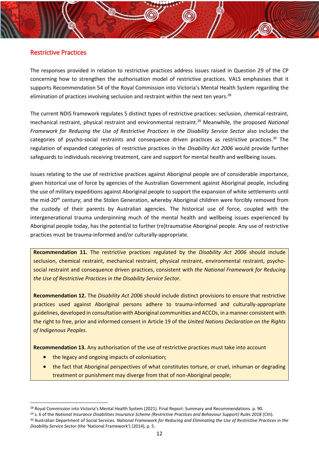#### <span id="page-12-0"></span>Restrictive Practices

The responses provided in relation to restrictive practices address issues raised in Question 29 of the CP concerning how to strengthen the authorisation model of restrictive practices. VALS emphasises that it supports Recommendation 54 of the Royal Commission into Victoria's Mental Health System regarding the elimination of practices involving seclusion and restraint within the next ten years.<sup>28</sup>

The current NDIS framework regulates 5 distinct types of restrictive practices: seclusion, chemical restraint, mechanical restraint, physical restraint and environmental restraint.<sup>29</sup> Meanwhile, the proposed *National Framework for Reducing the Use of Restrictive Practices in the Disability Service Sector* also includes the categories of psycho-social restraints and consequence driven practices as restrictive practices.<sup>30</sup> The regulation of expanded categories of restrictive practices in the *Disability Act 2006* would provide further safeguards to individuals receiving treatment, care and support for mental health and wellbeing issues.

Issues relating to the use of restrictive practices against Aboriginal people are of considerable importance, given historical use of force by agencies of the Australian Government against Aboriginal people, including the use of military expeditions against Aboriginal people to support the expansion of white settlements until the mid-20<sup>th</sup> century; and the Stolen Generation, whereby Aboriginal children were forcibly removed from the custody of their parents by Australian agencies. The historical use of force, coupled with the intergenerational trauma underpinning much of the mental health and wellbeing issues experienced by Aboriginal people today, has the potential to further (re)traumatise Aboriginal people. Any use of restrictive practices must be trauma-informed and/or culturally-appropriate.

**Recommendation 11.** The restrictive practices regulated by the *Disability Act 2006* should include seclusion, chemical restraint, mechanical restraint, physical restraint, environmental restraint, psychosocial restraint and consequence driven practices, consistent with *the National Framework for Reducing the Use of Restrictive Practices in the Disability Service Sector.*

**Recommendation 12.** The *Disability Act 2006* should include distinct provisions to ensure that restrictive practices used against Aboriginal persons adhere to trauma-informed and culturally-appropriate guidelines, developed in consultation with Aboriginal communities and ACCOs, in a manner consistent with the right to free, prior and informed consent in Article 19 of the *United Nations Declaration on the Rights of Indigenous Peoples*.

**Recommendation 13.** Any authorisation of the use of restrictive practices must take into account

- the legacy and ongoing impacts of colonisation;
- the fact that Aboriginal perspectives of what constitutes torture, or cruel, inhuman or degrading treatment or punishment may diverge from that of non-Aboriginal people;

<sup>&</sup>lt;sup>28</sup> Royal Commission into Victoria's Mental Health System (2021). Final Report: Summary and Recommendations. p. 90.

<sup>29</sup> s. 6 of the *National Insurance Disabilities Insurance Scheme (Restrictive Practices and Behaviour Support) Rules 2018* (Cth).

<sup>30</sup> Australian Department of Social Services*. National Framework for Reducing and Eliminating the Use of Restrictive Practices in the Disability Service Sector* (the 'National Framework') (2014), p. 5.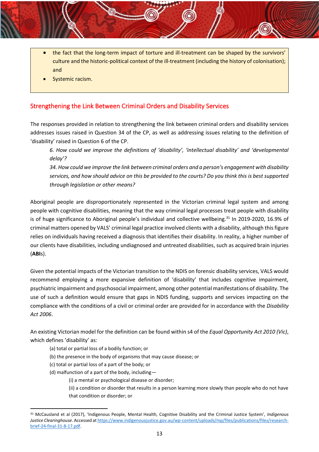- the fact that the long-term impact of torture and ill-treatment can be shaped by the survivors' culture and the historic-political context of the ill-treatment (including the history of colonisation); and
- Systemic racism.

### <span id="page-13-0"></span>Strengthening the Link Between Criminal Orders and Disability Services

The responses provided in relation to strengthening the link between criminal orders and disability services addresses issues raised in Question 34 of the CP, as well as addressing issues relating to the definition of 'disability' raised in Question 6 of the CP.

*6. How could we improve the definitions of 'disability', 'intellectual disability' and 'developmental delay'?*

*34. How could we improve the link between criminal orders and a person's engagement with disability services, and how should advice on this be provided to the courts? Do you think this is best supported through legislation or other means?*

Aboriginal people are disproportionately represented in the Victorian criminal legal system and among people with cognitive disabilities, meaning that the way criminal legal processes treat people with disability is of huge significance to Aboriginal people's individual and collective wellbeing.<sup>31</sup> In 2019-2020, 16.9% of criminal matters opened by VALS' criminal legal practice involved clients with a disability, although this figure relies on individuals having received a diagnosis that identifies their disability. In reality, a higher number of our clients have disabilities, including undiagnosed and untreated disabilities, such as acquired brain injuries (**ABI**s).

Given the potential impacts of the Victorian transition to the NDIS on forensic disability services, VALS would recommend employing a more expansive definition of 'disability' that includes cognitive impairment, psychiatric impairment and psychosocial impairment, among other potential manifestations of disability. The use of such a definition would ensure that gaps in NDIS funding, supports and services impacting on the compliance with the conditions of a civil or criminal order are provided for in accordance with the *Disability Act 2006*.

An existing Victorian model for the definition can be found within s4 of the *Equal Opportunity Act 2010 (Vic)*, which defines 'disability' as:

- (a) total or partial loss of a bodily function; or
- (b) the presence in the body of organisms that may cause disease; or
- (c) total or partial loss of a part of the body; or
- (d) malfunction of a part of the body, including—
	- (i) a mental or psychological disease or disorder;

(ii) a condition or disorder that results in a person learning more slowly than people who do not have that condition or disorder; or

<sup>31</sup> McCausland et al (2017), 'Indigenous People, Mental Health, Cognitive Disability and the Criminal Justice System', *Indigenous Justice Clearinghouse*. Accessed a[t https://www.indigenousjustice.gov.au/wp-content/uploads/mp/files/publications/files/research](https://www.indigenousjustice.gov.au/wp-content/uploads/mp/files/publications/files/research-brief-24-final-31-8-17.pdf)[brief-24-final-31-8-17.pdf.](https://www.indigenousjustice.gov.au/wp-content/uploads/mp/files/publications/files/research-brief-24-final-31-8-17.pdf)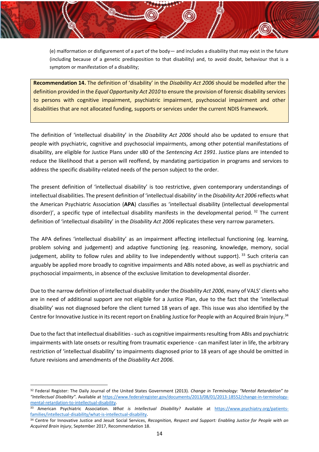(e) malformation or disfigurement of a part of the body— and includes a disability that may exist in the future (including because of a genetic predisposition to that disability) and, to avoid doubt, behaviour that is a symptom or manifestation of a disability;

**Recommendation 14.** The definition of 'disability' in the *Disability Act 2006* should be modelled after the definition provided in the *Equal Opportunity Act 2010* to ensure the provision of forensic disability services to persons with cognitive impairment, psychiatric impairment, psychosocial impairment and other disabilities that are not allocated funding, supports or services under the current NDIS framework.

The definition of 'intellectual disability' in the *Disability Act 2006* should also be updated to ensure that people with psychiatric, cognitive and psychosocial impairments, among other potential manifestations of disability, are eligible for Justice Plans under s80 of the *Sentencing Act 1991*. Justice plans are intended to reduce the likelihood that a person will reoffend, by mandating participation in programs and services to address the specific disability-related needs of the person subject to the order.

The present definition of 'intellectual disability' is too restrictive, given contemporary understandings of intellectual disabilities. The present definition of 'intellectual disability' in the *Disability Act 2006* reflects what the American Psychiatric Association (**APA**) classifies as 'intellectual disability (intellectual developmental disorder)', a specific type of intellectual disability manifests in the developmental period. <sup>32</sup> The current definition of 'intellectual disability' in the *Disability Act 2006* replicates these very narrow parameters.

The APA defines 'intellectual disability' as an impairment affecting intellectual functioning (eg. learning, problem solving and judgement) and adaptive functioning (eg. reasoning, knowledge, memory, social judgement, ability to follow rules and ability to live independently without support). 33 Such criteria can arguably be applied more broadly to cognitive impairments and ABIs noted above, as well as psychiatric and psychosocial impairments, in absence of the exclusive limitation to developmental disorder.

Due to the narrow definition of intellectual disability under the *Disability Act 2006*, many of VALS' clients who are in need of additional support are not eligible for a Justice Plan, due to the fact that the 'intellectual disability' was not diagnosed before the client turned 18 years of age. This issue was also identified by the Centre for Innovative Justice in its recent report on Enabling Justice for People with an Acquired Brain Injury.<sup>34</sup>

Due to the fact that intellectual disabilities - such as cognitive impairments resulting from ABIs and psychiatric impairments with late onsets or resulting from traumatic experience - can manifest later in life, the arbitrary restriction of 'intellectual disability' to impairments diagnosed prior to 18 years of age should be omitted in future revisions and amendments of the *Disability Act 2006.*

<sup>32</sup> Federal Register: The Daily Journal of the United States Government (2013). *Change in Terminology: "Mental Retardation" to "Intellectual Disability"*. Available at [https://www.federalregister.gov/documents/2013/08/01/2013-18552/change-in-terminology](https://www.federalregister.gov/documents/2013/08/01/2013-18552/change-in-terminology-mental-retardation-to-intellectual-disability)[mental-retardation-to-intellectual-disability.](https://www.federalregister.gov/documents/2013/08/01/2013-18552/change-in-terminology-mental-retardation-to-intellectual-disability)

<sup>33</sup> American Psychiatric Association. *What is Intellectual Disability?* Available at [https://www.psychiatry.org/patients](https://www.psychiatry.org/patients-families/intellectual-disability/what-is-intellectual-disability)[families/intellectual-disability/what-is-intellectual-disability.](https://www.psychiatry.org/patients-families/intellectual-disability/what-is-intellectual-disability)

<sup>34</sup> Centre for Innovative Justice and Jesuit Social Services, *Recognition, Respect and Support: Enabling Justice for People with an Acquired Brain Injury*, September 2017, Recommendation 18.